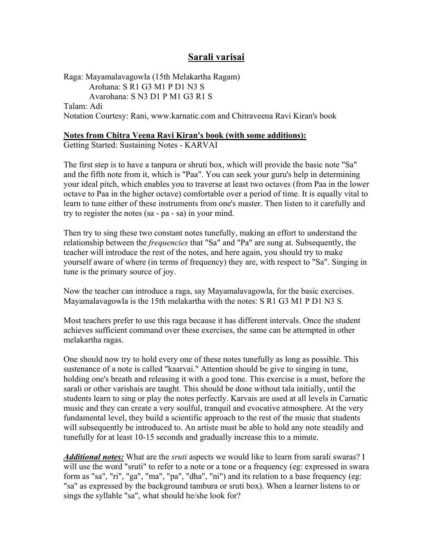# **Sarali varisai**

Raga: Mayamalavagowla (15th Melakartha Ragam) Arohana: S R1 G3 M1 P D1 N3 S Avarohana: S N3 D1 P M1 G3 R1 S Talam: Adi Notation Courtesy: Rani, www.karnatic.com and Chitraveena Ravi Kiran's book

#### **Notes from Chitra Veena Ravi Kiran's book (with some additions):**

Getting Started: Sustaining Notes - KARVAI

The first step is to have a tanpura or shruti box, which will provide the basic note "Sa" and the fifth note from it, which is "Paa". You can seek your guru's help in determining your ideal pitch, which enables you to traverse at least two octaves (from Paa in the lower octave to Paa in the higher octave) comfortable over a period of time. It is equally vital to learn to tune either of these instruments from one's master. Then listen to it carefully and try to register the notes (sa - pa - sa) in your mind.

Then try to sing these two constant notes tunefully, making an effort to understand the relationship between the *frequencies* that "Sa" and "Pa" are sung at. Subsequently, the teacher will introduce the rest of the notes, and here again, you should try to make yourself aware of where (in terms of frequency) they are, with respect to "Sa". Singing in tune is the primary source of joy.

Now the teacher can introduce a raga, say Mayamalavagowla, for the basic exercises. Mayamalavagowla is the 15th melakartha with the notes: S R1 G3 M1 P D1 N3 S.

Most teachers prefer to use this raga because it has different intervals. Once the student achieves sufficient command over these exercises, the same can be attempted in other melakartha ragas.

One should now try to hold every one of these notes tunefully as long as possible. This sustenance of a note is called "kaarvai." Attention should be give to singing in tune, holding one's breath and releasing it with a good tone. This exercise is a must, before the sarali or other varishais are taught. This should be done without tala initially, until the students learn to sing or play the notes perfectly. Karvais are used at all levels in Carnatic music and they can create a very soulful, tranquil and evocative atmosphere. At the very fundamental level, they build a scientific approach to the rest of the music that students will subsequently be introduced to. An artiste must be able to hold any note steadily and tunefully for at least 10-15 seconds and gradually increase this to a minute.

*Additional notes:* What are the *sruti* aspects we would like to learn from sarali swaras? I will use the word "sruti" to refer to a note or a tone or a frequency (eg: expressed in swara form as "sa", "ri", "ga", "ma", "pa", "dha", "ni") and its relation to a base frequency (eg: "sa" as expressed by the background tambura or sruti box). When a learner listens to or sings the syllable "sa", what should he/she look for?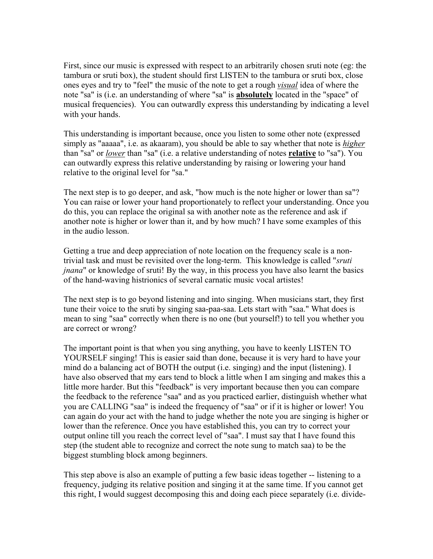First, since our music is expressed with respect to an arbitrarily chosen sruti note (eg: the tambura or sruti box), the student should first LISTEN to the tambura or sruti box, close ones eyes and try to "feel" the music of the note to get a rough *visual* idea of where the note "sa" is (i.e. an understanding of where "sa" is **absolutely** located in the "space" of musical frequencies). You can outwardly express this understanding by indicating a level with your hands.

This understanding is important because, once you listen to some other note (expressed simply as "aaaaa", i.e. as akaaram), you should be able to say whether that note is *higher* than "sa" or *lower* than "sa" (i.e. a relative understanding of notes **relative** to "sa"). You can outwardly express this relative understanding by raising or lowering your hand relative to the original level for "sa."

The next step is to go deeper, and ask, "how much is the note higher or lower than sa"? You can raise or lower your hand proportionately to reflect your understanding. Once you do this, you can replace the original sa with another note as the reference and ask if another note is higher or lower than it, and by how much? I have some examples of this in the audio lesson.

Getting a true and deep appreciation of note location on the frequency scale is a nontrivial task and must be revisited over the long-term. This knowledge is called "*sruti jnana*" or knowledge of sruti! By the way, in this process you have also learnt the basics of the hand-waving histrionics of several carnatic music vocal artistes!

The next step is to go beyond listening and into singing. When musicians start, they first tune their voice to the sruti by singing saa-paa-saa. Lets start with "saa." What does is mean to sing "saa" correctly when there is no one (but yourself!) to tell you whether you are correct or wrong?

The important point is that when you sing anything, you have to keenly LISTEN TO YOURSELF singing! This is easier said than done, because it is very hard to have your mind do a balancing act of BOTH the output (i.e. singing) and the input (listening). I have also observed that my ears tend to block a little when I am singing and makes this a little more harder. But this "feedback" is very important because then you can compare the feedback to the reference "saa" and as you practiced earlier, distinguish whether what you are CALLING "saa" is indeed the frequency of "saa" or if it is higher or lower! You can again do your act with the hand to judge whether the note you are singing is higher or lower than the reference. Once you have established this, you can try to correct your output online till you reach the correct level of "saa". I must say that I have found this step (the student able to recognize and correct the note sung to match saa) to be the biggest stumbling block among beginners.

This step above is also an example of putting a few basic ideas together -- listening to a frequency, judging its relative position and singing it at the same time. If you cannot get this right, I would suggest decomposing this and doing each piece separately (i.e. divide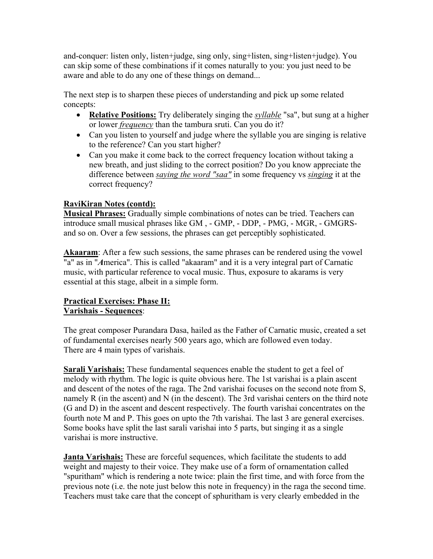and-conquer: listen only, listen+judge, sing only, sing+listen, sing+listen+judge). You can skip some of these combinations if it comes naturally to you: you just need to be aware and able to do any one of these things on demand...

The next step is to sharpen these pieces of understanding and pick up some related concepts:

- **Relative Positions:** Try deliberately singing the *syllable* "sa", but sung at a higher or lower *frequency* than the tambura sruti. Can you do it?
- Can you listen to yourself and judge where the syllable you are singing is relative to the reference? Can you start higher?
- Can you make it come back to the correct frequency location without taking a new breath, and just sliding to the correct position? Do you know appreciate the difference between *saying the word "saa"* in some frequency vs *singing* it at the correct frequency?

# **RaviKiran Notes (contd):**

**Musical Phrases:** Gradually simple combinations of notes can be tried. Teachers can introduce small musical phrases like GM , - GMP, - DDP, - PMG, - MGR, - GMGRSand so on. Over a few sessions, the phrases can get perceptibly sophisticated.

Akaaram: After a few such sessions, the same phrases can be rendered using the vowel "a" as in "*A*merica". This is called "akaaram" and it is a very integral part of Carnatic music, with particular reference to vocal music. Thus, exposure to akarams is very essential at this stage, albeit in a simple form.

# **Practical Exercises: Phase II: Varishais - Sequences**:

The great composer Purandara Dasa, hailed as the Father of Carnatic music, created a set of fundamental exercises nearly 500 years ago, which are followed even today. There are 4 main types of varishais.

**Sarali Varishais:** These fundamental sequences enable the student to get a feel of melody with rhythm. The logic is quite obvious here. The 1st varishai is a plain ascent and descent of the notes of the raga. The 2nd varishai focuses on the second note from S, namely R (in the ascent) and N (in the descent). The 3rd varishai centers on the third note (G and D) in the ascent and descent respectively. The fourth varishai concentrates on the fourth note M and P. This goes on upto the 7th varishai. The last 3 are general exercises. Some books have split the last sarali varishai into 5 parts, but singing it as a single varishai is more instructive.

**Janta Varishais:** These are forceful sequences, which facilitate the students to add weight and majesty to their voice. They make use of a form of ornamentation called "spuritham" which is rendering a note twice: plain the first time, and with force from the previous note (i.e. the note just below this note in frequency) in the raga the second time. Teachers must take care that the concept of sphuritham is very clearly embedded in the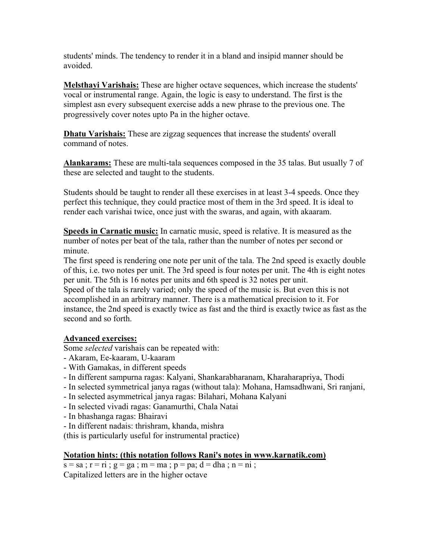students' minds. The tendency to render it in a bland and insipid manner should be avoided.

**Melsthayi Varishais:** These are higher octave sequences, which increase the students' vocal or instrumental range. Again, the logic is easy to understand. The first is the simplest asn every subsequent exercise adds a new phrase to the previous one. The progressively cover notes upto Pa in the higher octave.

**Dhatu Varishais:** These are zigzag sequences that increase the students' overall command of notes.

**Alankarams:** These are multi-tala sequences composed in the 35 talas. But usually 7 of these are selected and taught to the students.

Students should be taught to render all these exercises in at least 3-4 speeds. Once they perfect this technique, they could practice most of them in the 3rd speed. It is ideal to render each varishai twice, once just with the swaras, and again, with akaaram.

**Speeds in Carnatic music:** In carnatic music, speed is relative. It is measured as the number of notes per beat of the tala, rather than the number of notes per second or minute.

The first speed is rendering one note per unit of the tala. The 2nd speed is exactly double of this, i.e. two notes per unit. The 3rd speed is four notes per unit. The 4th is eight notes per unit. The 5th is 16 notes per units and 6th speed is 32 notes per unit.

Speed of the tala is rarely varied; only the speed of the music is. But even this is not accomplished in an arbitrary manner. There is a mathematical precision to it. For instance, the 2nd speed is exactly twice as fast and the third is exactly twice as fast as the second and so forth.

### **Advanced exercises:**

Some *selected* varishais can be repeated with:

- Akaram, Ee-kaaram, U-kaaram
- With Gamakas, in different speeds
- In different sampurna ragas: Kalyani, Shankarabharanam, Kharaharapriya, Thodi
- In selected symmetrical janya ragas (without tala): Mohana, Hamsadhwani, Sri ranjani,
- In selected asymmetrical janya ragas: Bilahari, Mohana Kalyani
- In selected vivadi ragas: Ganamurthi, Chala Natai
- In bhashanga ragas: Bhairavi
- In different nadais: thrishram, khanda, mishra

(this is particularly useful for instrumental practice)

### **Notation hints: (this notation follows Rani's notes in www.karnatik.com)**

 $s = sa$ ;  $r = ri$ ;  $g = ga$ ;  $m = ma$ ;  $p = pa$ ;  $d = dha$ ;  $n = ni$ ; Capitalized letters are in the higher octave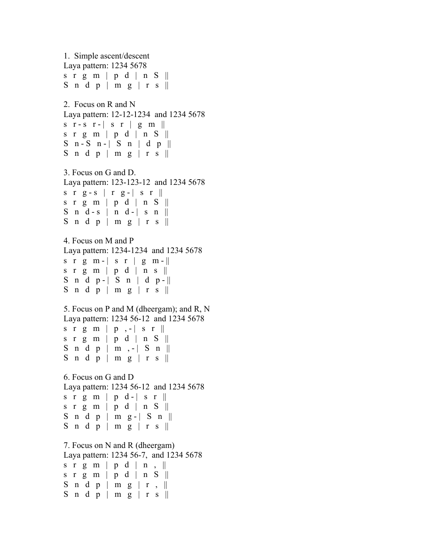```
1. Simple ascent/descent 
Laya pattern: 1234 5678 
s r g m | p d | n S ||S n d p | m g | r s \parallel2. Focus on R and N 
Laya pattern: 12-12-1234 and 1234 5678 
s r - s r -| s r | g m ||
s r g m | p d | n S || 
S n - S n - \vert S n \vert d p \vertS n d p | m g | r s \parallel3. Focus on G and D. 
Laya pattern: 123-123-12 and 1234 5678 
s r g - s | r g - | s r ||
s r g m | p d | n S ||S n d - s | n d - | s n ||
S n d p | m g | r s \parallel4. Focus on M and P 
Laya pattern: 1234-1234 and 1234 5678 
s r g m - | s r | g m - ||s r g m | p d | n s \parallelS n d p - | S n | d p - ||
S n d p | m g | r s \parallel5. Focus on P and M (dheergam); and R, N 
Laya pattern: 1234 56-12 and 1234 5678 
s r g m | p, -| s r |s r g m | p d | n S ||S n d p | m , -| S n ||
S n d p | m g | r s \parallel6. Focus on G and D 
Laya pattern: 1234 56-12 and 1234 5678 
s r g m | p d - | s r \parallels r g m | p d | n S ||S \nmid d \nmid p \nmid m \nmid g - | S \nmid lS n d p | m g | r s \parallel7. Focus on N and R (dheergam) 
Laya pattern: 1234 56-7, and 1234 5678 
s r g m | p d | n \vert ||
s r g m | p d | n S ||S n d p | m g | r , \parallelS n d p | m g | r s \parallel
```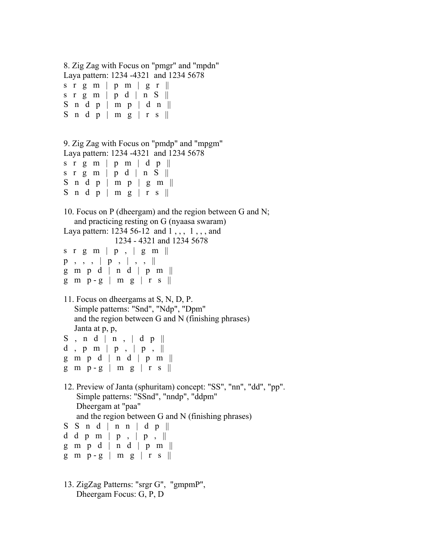```
8. Zig Zag with Focus on "pmgr" and "mpdn" 
Laya pattern: 1234 -4321 and 1234 5678 
s r g m | p m | g r \parallels r g m | p d | n S ||S n d p | m p | d n \parallelS n d p | m g | r s \parallel9. Zig Zag with Focus on "pmdp" and "mpgm" 
Laya pattern: 1234 -4321 and 1234 5678 
s r g m | p m | d p \parallels r g m | p d | n S ||S n d p | m p | g m \parallelS n d p | m g | r s \parallel10. Focus on P (dheergam) and the region between G and N; 
    and practicing resting on G (nyaasa swaram) 
Laya pattern: 1234 56-12 and 1, 1, 1, 1, 11234 - 4321 and 1234 5678 
s r g m | p , | g m | |p, , , | p, | , | , |g \text{m} \text{p} d \mid n d \mid p \text{m}g \text{ m } p - g \mid m g \mid r s \parallel11. Focus on dheergams at S, N, D, P. 
    Simple patterns: "Snd", "Ndp", "Dpm" 
    and the region between G and N (finishing phrases) 
    Janta at p, p, 
S, n d | n, d pd, p m | p , | p , \parallelg \text{ m } p \text{ d } | \text{ n } d | p \text{ m } ||g \text{ m } p - g \mid m g \mid r s \parallel12. Preview of Janta (sphuritam) concept: "SS", "nn", "dd", "pp". 
     Simple patterns: "SSnd", "nndp", "ddpm" 
    Dheergam at "paa" 
    and the region between G and N (finishing phrases) 
S S n d | n n | d p ||d d p m | p , | p , ||
g \text{ m } p \text{ d } | \text{ n } d | p \text{ m } ||g \text{ m } p - g \mid m g \mid r s \parallel13. ZigZag Patterns: "srgr G", "gmpmP",
```
Dheergam Focus: G, P, D